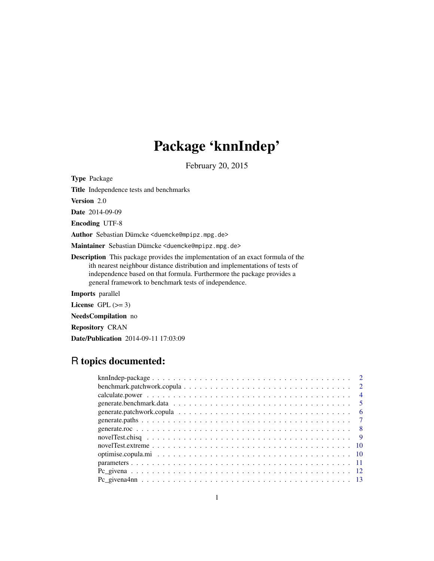# Package 'knnIndep'

February 20, 2015

<span id="page-0-0"></span>Type Package

Title Independence tests and benchmarks

Version 2.0

Date 2014-09-09

Encoding UTF-8

Author Sebastian Dümcke <duemcke@mpipz.mpg.de>

Maintainer Sebastian Dümcke <duemcke@mpipz.mpg.de>

Description This package provides the implementation of an exact formula of the ith nearest neighbour distance distribution and implementations of tests of independence based on that formula. Furthermore the package provides a general framework to benchmark tests of independence.

Imports parallel

License GPL  $(>= 3)$ 

NeedsCompilation no

Repository CRAN

Date/Publication 2014-09-11 17:03:09

# R topics documented:

| $\overline{4}$ |
|----------------|
| $\overline{5}$ |
| - 6            |
|                |
|                |
|                |
|                |
|                |
|                |
|                |
|                |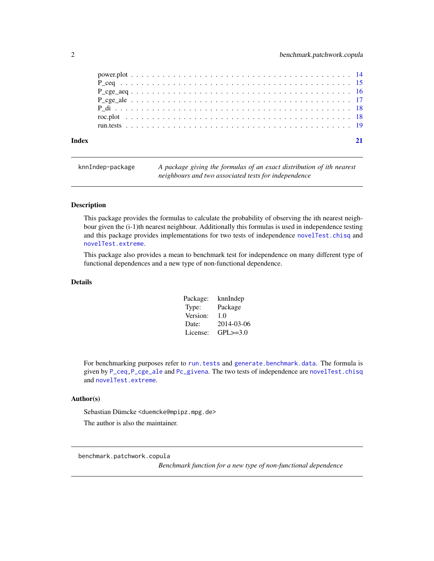<span id="page-1-0"></span>

| Index |  |  |  |  |  |  |  |  |  |  |  |  |  |  |  |  |  |  |  |  |  |  |
|-------|--|--|--|--|--|--|--|--|--|--|--|--|--|--|--|--|--|--|--|--|--|--|
|       |  |  |  |  |  |  |  |  |  |  |  |  |  |  |  |  |  |  |  |  |  |  |
|       |  |  |  |  |  |  |  |  |  |  |  |  |  |  |  |  |  |  |  |  |  |  |
|       |  |  |  |  |  |  |  |  |  |  |  |  |  |  |  |  |  |  |  |  |  |  |
|       |  |  |  |  |  |  |  |  |  |  |  |  |  |  |  |  |  |  |  |  |  |  |
|       |  |  |  |  |  |  |  |  |  |  |  |  |  |  |  |  |  |  |  |  |  |  |
|       |  |  |  |  |  |  |  |  |  |  |  |  |  |  |  |  |  |  |  |  |  |  |
|       |  |  |  |  |  |  |  |  |  |  |  |  |  |  |  |  |  |  |  |  |  |  |

knnIndep-package *A package giving the formulas of an exact distribution of ith nearest neighbours and two associated tests for independence*

#### Description

This package provides the formulas to calculate the probability of observing the ith nearest neighbour given the (i-1)th nearest neighbour. Additionally this formulas is used in independence testing and this package provides implementations for two tests of independence [novelTest.chisq](#page-8-1) and [novelTest.extreme](#page-9-1).

This package also provides a mean to benchmark test for independence on many different type of functional dependences and a new type of non-functional dependence.

#### Details

| Package: | knnIndep      |
|----------|---------------|
| Type:    | Package       |
| Version: | 1.0           |
| Date:    | 2014-03-06    |
| License: | $GPL \ge 3.0$ |

For benchmarking purposes refer to [run.tests](#page-18-1) and [generate.benchmark.data](#page-4-1). The formula is given by [P\\_ceq,](#page-14-1)[P\\_cge\\_ale](#page-16-1) and [Pc\\_givena](#page-11-1). The two tests of independence are [novelTest.chisq](#page-8-1) and [novelTest.extreme](#page-9-1).

#### Author(s)

Sebastian Dümcke <duemcke@mpipz.mpg.de>

The author is also the maintainer.

benchmark.patchwork.copula

*Benchmark function for a new type of non-functional dependence*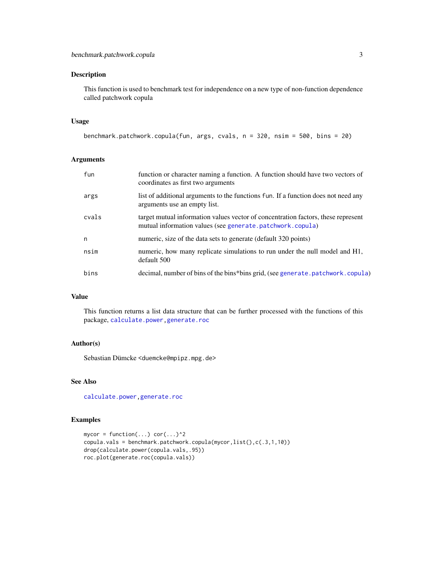<span id="page-2-0"></span>This function is used to benchmark test for independence on a new type of non-function dependence called patchwork copula

# Usage

```
benchmark.patchwork.copula(fun, args, cvals, n = 320, nsim = 500, bins = 20)
```
# Arguments

| fun   | function or character naming a function. A function should have two vectors of<br>coordinates as first two arguments                           |
|-------|------------------------------------------------------------------------------------------------------------------------------------------------|
| args  | list of additional arguments to the functions fun. If a function does not need any<br>arguments use an empty list.                             |
| cvals | target mutual information values vector of concentration factors, these represent<br>mutual information values (see generate.patchwork.copula) |
| n     | numeric, size of the data sets to generate (default 320 points)                                                                                |
| nsim  | numeric, how many replicate simulations to run under the null model and H1,<br>default 500                                                     |
| bins  | decimal, number of bins of the bins*bins grid, (see generate. patchwork. copula)                                                               |

# Value

This function returns a list data structure that can be further processed with the functions of this package, [calculate.power,](#page-3-1)[generate.roc](#page-7-1)

#### Author(s)

Sebastian Dümcke <duemcke@mpipz.mpg.de>

# See Also

[calculate.power](#page-3-1)[,generate.roc](#page-7-1)

```
mycor = function(...) cor(...)^2copula.vals = benchmark.patchwork.copula(mycor,list(),c(.3,1,10))
drop(calculate.power(copula.vals,.95))
roc.plot(generate.roc(copula.vals))
```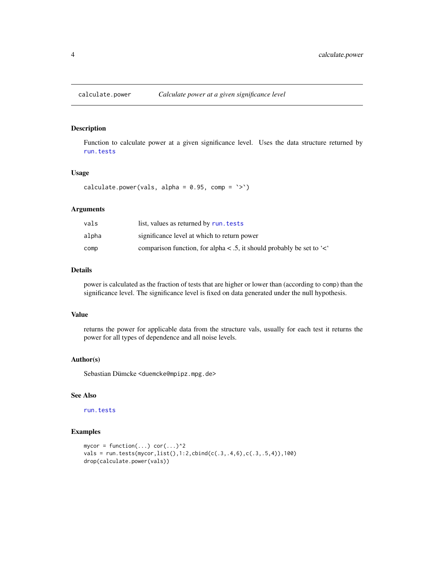<span id="page-3-1"></span><span id="page-3-0"></span>Function to calculate power at a given significance level. Uses the data structure returned by [run.tests](#page-18-1)

#### Usage

```
calculate.power(vals, alpha = 0.95, comp = '>')
```
#### Arguments

| vals  | list, values as returned by run. tests                                      |
|-------|-----------------------------------------------------------------------------|
| alpha | significance level at which to return power                                 |
| comp  | comparison function, for alpha $\lt$ .5, it should probably be set to $\lt$ |

#### Details

power is calculated as the fraction of tests that are higher or lower than (according to comp) than the significance level. The significance level is fixed on data generated under the null hypothesis.

#### Value

returns the power for applicable data from the structure vals, usually for each test it returns the power for all types of dependence and all noise levels.

#### Author(s)

Sebastian Dümcke <duemcke@mpipz.mpg.de>

# See Also

[run.tests](#page-18-1)

```
mycor = function(...) cor(...)^2vals = run.tests(mycor,list(),1:2,cbind(c(.3,.4,6),c(.3,.5,4)),100)
drop(calculate.power(vals))
```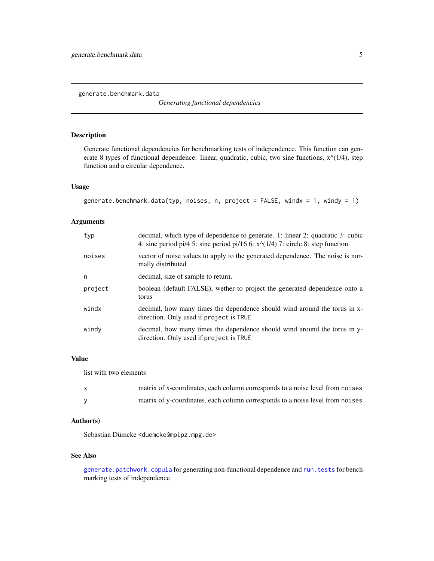<span id="page-4-1"></span><span id="page-4-0"></span>generate.benchmark.data

*Generating functional dependencies*

# Description

Generate functional dependencies for benchmarking tests of independence. This function can generate 8 types of functional dependence: linear, quadratic, cubic, two sine functions,  $x^{\wedge}(1/4)$ , step function and a circular dependence.

# Usage

```
generate.benchmark.data(typ, noises, n, project = FALSE, windx = 1, windy = 1)
```
# Arguments

| typ     | decimal, which type of dependence to generate. 1: linear 2: quadratic 3: cubic<br>4: sine period pi/4 5: sine period pi/16 6: $x^{\wedge}(1/4)$ 7: circle 8: step function |
|---------|----------------------------------------------------------------------------------------------------------------------------------------------------------------------------|
| noises  | vector of noise values to apply to the generated dependence. The noise is nor-<br>mally distributed.                                                                       |
| n       | decimal, size of sample to return.                                                                                                                                         |
| project | boolean (default FALSE), wether to project the generated dependence onto a<br>torus                                                                                        |
| windx   | decimal, how many times the dependence should wind around the torus in x-<br>direction. Only used if project is TRUE                                                       |
| windy   | decimal, how many times the dependence should wind around the torus in y-<br>direction. Only used if project is TRUE                                                       |

# Value

list with two elements

| matrix of x-coordinates, each column corresponds to a noise level from noises |
|-------------------------------------------------------------------------------|
| matrix of y-coordinates, each column corresponds to a noise level from noises |

# Author(s)

Sebastian Dümcke <duemcke@mpipz.mpg.de>

# See Also

[generate.patchwork.copula](#page-5-1) for generating non-functional dependence and [run.tests](#page-18-1) for benchmarking tests of independence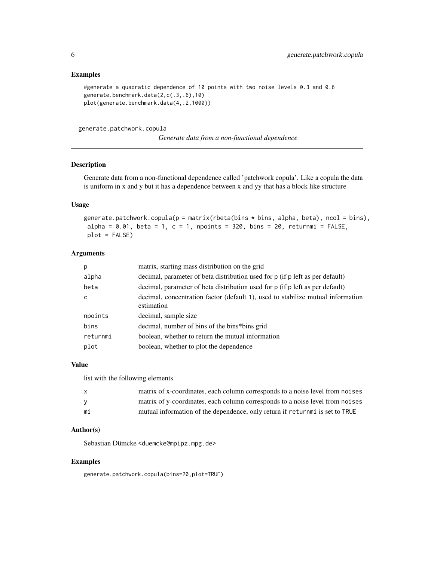#### <span id="page-5-0"></span>Examples

#generate a quadratic dependence of 10 points with two noise levels 0.3 and 0.6 generate.benchmark.data(2,c(.3,.6),10) plot(generate.benchmark.data(4,.2,1000))

<span id="page-5-1"></span>generate.patchwork.copula

*Generate data from a non-functional dependence*

# Description

Generate data from a non-functional dependence called 'patchwork copula'. Like a copula the data is uniform in x and y but it has a dependence between x and yy that has a block like structure

#### Usage

```
generate.patchwork.copula(p = matrix(rbeta(bins * bins, alpha, beta), ncol = bins),
alpha = 0.01, beta = 1, c = 1, npoints = 320, bins = 20, returnmi = FALSE,
plot = FALSE)
```
# Arguments

| р        | matrix, starting mass distribution on the grid                                                |
|----------|-----------------------------------------------------------------------------------------------|
| alpha    | decimal, parameter of beta distribution used for p (if p left as per default)                 |
| beta     | decimal, parameter of beta distribution used for p (if p left as per default)                 |
| C        | decimal, concentration factor (default 1), used to stabilize mutual information<br>estimation |
| npoints  | decimal, sample size                                                                          |
| bins     | decimal, number of bins of the bins*bins grid                                                 |
| returnmi | boolean, whether to return the mutual information                                             |
| plot     | boolean, whether to plot the dependence                                                       |

#### Value

list with the following elements

| X. | matrix of x-coordinates, each column corresponds to a noise level from noises |
|----|-------------------------------------------------------------------------------|
|    | matrix of y-coordinates, each column corresponds to a noise level from noises |
| mi | mutual information of the dependence, only return if returnmi is set to TRUE  |

#### Author(s)

Sebastian Dümcke <duemcke@mpipz.mpg.de>

#### Examples

generate.patchwork.copula(bins=20,plot=TRUE)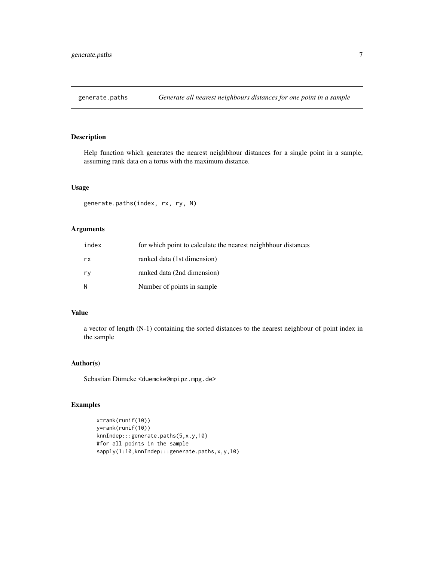<span id="page-6-0"></span>

Help function which generates the nearest neighbhour distances for a single point in a sample, assuming rank data on a torus with the maximum distance.

# Usage

```
generate.paths(index, rx, ry, N)
```
# Arguments

| index | for which point to calculate the nearest neighbhour distances |
|-------|---------------------------------------------------------------|
| rx    | ranked data (1st dimension)                                   |
| ry    | ranked data (2nd dimension)                                   |
| N     | Number of points in sample                                    |

# Value

a vector of length (N-1) containing the sorted distances to the nearest neighbour of point index in the sample

# Author(s)

Sebastian Dümcke <duemcke@mpipz.mpg.de>

```
x=rank(runif(10))
y=rank(runif(10))
knnIndep:::generate.paths(5,x,y,10)
#for all points in the sample
sapply(1:10,knnIndep:::generate.paths,x,y,10)
```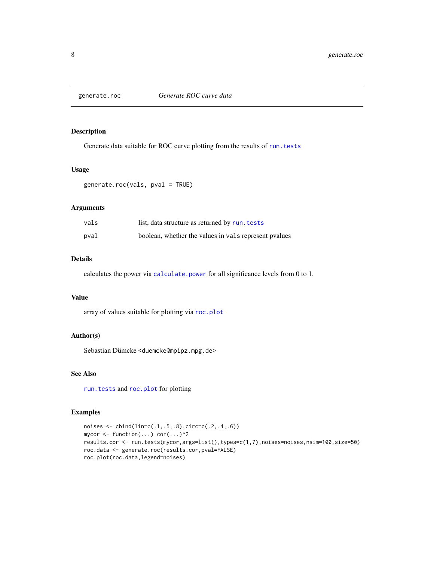<span id="page-7-1"></span><span id="page-7-0"></span>

Generate data suitable for ROC curve plotting from the results of [run.tests](#page-18-1)

#### Usage

```
generate.roc(vals, pval = TRUE)
```
# Arguments

| vals | list, data structure as returned by run. tests        |
|------|-------------------------------------------------------|
| pval | boolean, whether the values in vals represent pvalues |

# Details

calculates the power via [calculate.power](#page-3-1) for all significance levels from 0 to 1.

#### Value

array of values suitable for plotting via [roc.plot](#page-17-1)

# Author(s)

Sebastian Dümcke <duemcke@mpipz.mpg.de>

# See Also

[run.tests](#page-18-1) and [roc.plot](#page-17-1) for plotting

```
noises <- cbind(lin=c(.1,.5,.8),circ=c(.2,.4,.6))
mycor <- function(...) cor(...)^2
results.cor <- run.tests(mycor,args=list(),types=c(1,7),noises=noises,nsim=100,size=50)
roc.data <- generate.roc(results.cor,pval=FALSE)
roc.plot(roc.data,legend=noises)
```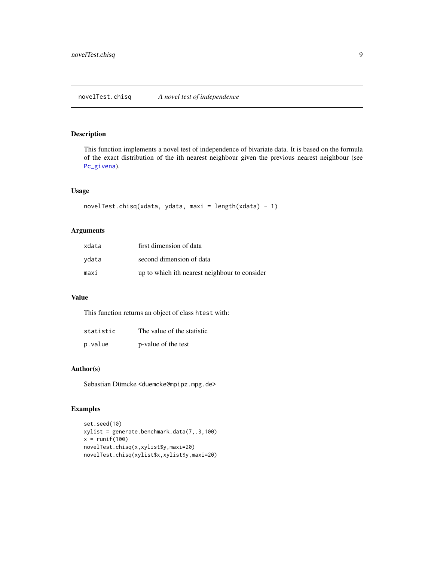<span id="page-8-1"></span><span id="page-8-0"></span>This function implements a novel test of independence of bivariate data. It is based on the formula of the exact distribution of the ith nearest neighbour given the previous nearest neighbour (see [Pc\\_givena](#page-11-1)).

# Usage

```
novelTest.chisq(xdata, ydata, maxi = length(xdata) - 1)
```
# Arguments

| xdata | first dimension of data                       |
|-------|-----------------------------------------------|
| ydata | second dimension of data                      |
| maxi  | up to which ith nearest neighbour to consider |

# Value

This function returns an object of class htest with:

| statistic | The value of the statistic |
|-----------|----------------------------|
| p.value   | p-value of the test        |

#### Author(s)

Sebastian Dümcke <duemcke@mpipz.mpg.de>

```
set.seed(10)
xylist = generate.benchmark.data(7,.3,100)
x = runif(100)novelTest.chisq(x,xylist$y,maxi=20)
novelTest.chisq(xylist$x,xylist$y,maxi=20)
```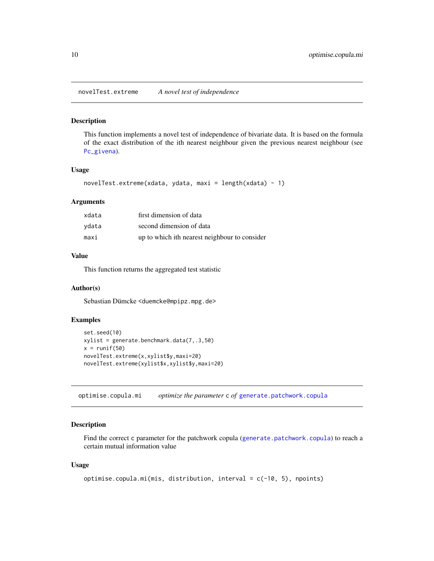<span id="page-9-1"></span><span id="page-9-0"></span>novelTest.extreme *A novel test of independence*

#### Description

This function implements a novel test of independence of bivariate data. It is based on the formula of the exact distribution of the ith nearest neighbour given the previous nearest neighbour (see [Pc\\_givena](#page-11-1)).

#### Usage

```
novelTest.extreme(xdata, ydata, maxi = length(xdata) - 1)
```
#### Arguments

| xdata | first dimension of data                       |
|-------|-----------------------------------------------|
| ydata | second dimension of data                      |
| maxi  | up to which ith nearest neighbour to consider |

#### Value

This function returns the aggregated test statistic

#### Author(s)

Sebastian Dümcke <duemcke@mpipz.mpg.de>

# Examples

```
set.seed(10)
xylist = generate.benchmark.data(7,.3,50)
x = runif(50)novelTest.extreme(x,xylist$y,maxi=20)
novelTest.extreme(xylist$x,xylist$y,maxi=20)
```
optimise.copula.mi *optimize the parameter* c *of* [generate.patchwork.copula](#page-5-1)

# Description

Find the correct c parameter for the patchwork copula ([generate.patchwork.copula](#page-5-1)) to reach a certain mutual information value

#### Usage

```
optimise.copula.mi(mis, distribution, interval = c(-10, 5), npoints)
```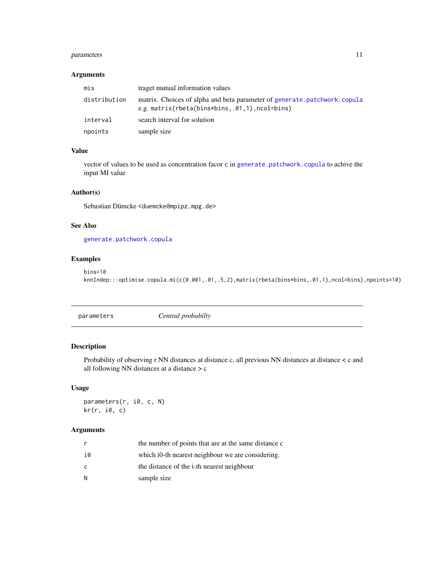# <span id="page-10-0"></span>parameters 11

# Arguments

| mis          | traget mutual information values                                                                                                |
|--------------|---------------------------------------------------------------------------------------------------------------------------------|
| distribution | matrix. Choices of alpha and beta parameter of generate.patchwork.copula<br>e.g. matrix(rbeta(bins*bins, $.01, 1)$ , ncol=bins) |
| interval     | search interval for solution                                                                                                    |
| npoints      | sample size                                                                                                                     |

# Value

vector of values to be used as concentration facor c in [generate.patchwork.copula](#page-5-1) to achive the input MI value

# Author(s)

Sebastian Dümcke <duemcke@mpipz.mpg.de>

# See Also

[generate.patchwork.copula](#page-5-1)

# Examples

bins=10 knnIndep:::optimise.copula.mi(c(0.001,.01,.5,2),matrix(rbeta(bins\*bins,.01,1),ncol=bins),npoints=10)

parameters *Central probabilty*

# Description

Probability of observing r NN distances at distance c, all previous NN distances at distance < c and all following NN distances at a distance > c

# Usage

parameters(r, i0, c, N) kr(r, i0, c)

# Arguments

|    | the number of points that are at the same distance c |
|----|------------------------------------------------------|
| i0 | which io-th nearest neighbour we are considering.    |
| C. | the distance of the i-th nearest neighbour           |
| Ν  | sample size                                          |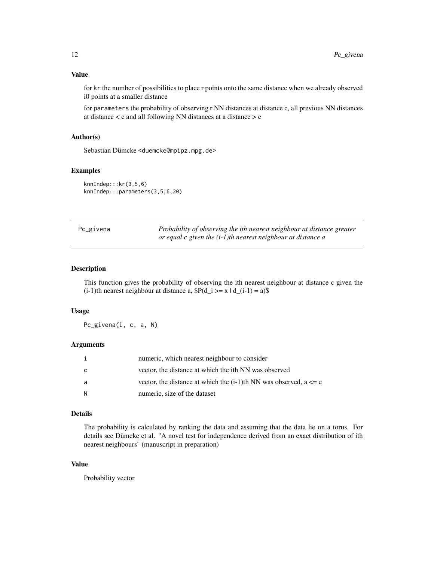<span id="page-11-0"></span>for kr the number of possibilities to place r points onto the same distance when we already observed i0 points at a smaller distance

for parameters the probability of observing r NN distances at distance c, all previous NN distances at distance < c and all following NN distances at a distance > c

# Author(s)

Sebastian Dümcke <duemcke@mpipz.mpg.de>

# Examples

knnIndep:::kr(3,5,6) knnIndep:::parameters(3,5,6,20)

<span id="page-11-1"></span>

| Pc_givena | Probability of observing the ith nearest neighbour at distance greater |  |  |  |  |
|-----------|------------------------------------------------------------------------|--|--|--|--|
|           | or equal c given the $(i-1)$ th nearest neighbour at distance a        |  |  |  |  |

#### Description

This function gives the probability of observing the ith nearest neighbour at distance c given the  $(i-1)$ th nearest neighbour at distance a,  $P(d_i \geq x \mid d_i(i-1)) = a)$ \$

#### Usage

Pc\_givena(i, c, a, N)

#### Arguments

|   | numeric, which nearest neighbour to consider                             |
|---|--------------------------------------------------------------------------|
| C | vector, the distance at which the ith NN was observed                    |
| a | vector, the distance at which the $(i-1)$ th NN was observed, $a \leq c$ |
| N | numeric, size of the dataset                                             |

# Details

The probability is calculated by ranking the data and assuming that the data lie on a torus. For details see Dümcke et al. "A novel test for independence derived from an exact distribution of ith nearest neighbours" (manuscript in preparation)

# Value

Probability vector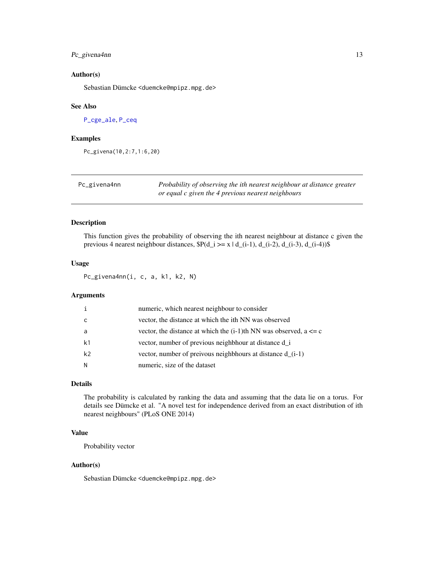# <span id="page-12-0"></span>Pc\_givena4nn 13

#### Author(s)

Sebastian Dümcke <duemcke@mpipz.mpg.de>

#### See Also

[P\\_cge\\_ale](#page-16-1), [P\\_ceq](#page-14-1)

#### Examples

Pc\_givena(10,2:7,1:6,20)

<span id="page-12-1"></span>

| Pc_givena4nn | Probability of observing the ith nearest neighbour at distance greater |
|--------------|------------------------------------------------------------------------|
|              | or equal c given the 4 previous nearest neighbours                     |

## Description

This function gives the probability of observing the ith nearest neighbour at distance c given the previous 4 nearest neighbour distances,  $P(d_i \ge x \mid d_i(i-1), d_i(i-2), d_i(i-3), d_i(i-4))$ \$

#### Usage

Pc\_givena4nn(i, c, a, k1, k2, N)

#### Arguments

|                | numeric, which nearest neighbour to consider                             |
|----------------|--------------------------------------------------------------------------|
| C              | vector, the distance at which the ith NN was observed                    |
| -a             | vector, the distance at which the $(i-1)$ th NN was observed, $a \leq c$ |
| k1             | vector, number of previous neighbhour at distance d_i                    |
| k <sub>2</sub> | vector, number of preivous neighbhours at distance d_(i-1)               |
| N              | numeric, size of the dataset                                             |

# Details

The probability is calculated by ranking the data and assuming that the data lie on a torus. For details see Dümcke et al. "A novel test for independence derived from an exact distribution of ith nearest neighbours" (PLoS ONE 2014)

### Value

Probability vector

#### Author(s)

Sebastian Dümcke <duemcke@mpipz.mpg.de>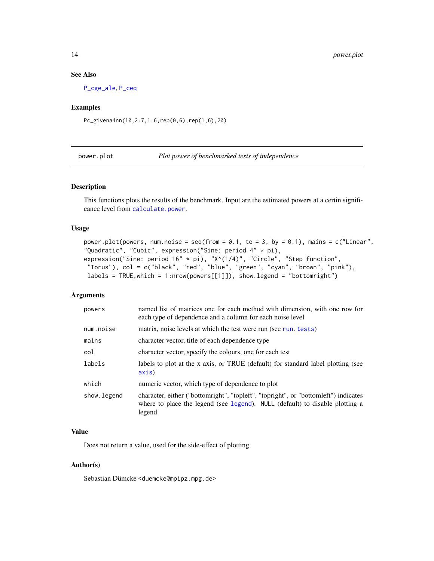#### See Also

[P\\_cge\\_ale](#page-16-1), [P\\_ceq](#page-14-1)

# Examples

Pc\_givena4nn(10,2:7,1:6,rep(0,6),rep(1,6),20)

power.plot *Plot power of benchmarked tests of independence*

#### Description

This functions plots the results of the benchmark. Input are the estimated powers at a certin significance level from [calculate.power](#page-3-1).

#### Usage

```
power.plot(powers, num.noise = seq(from = 0.1, to = 3, by = 0.1), mains = c("Linear",
"Quadratic", "Cubic", expression("Sine: period 4" * pi),
expression("Sine: period 16" * pi), "X^(1/4)", "Circle", "Step function",
"Torus"), col = c("black", "red", "blue", "green", "cyan", "brown", "pink"),
labels = TRUE,which = 1:nrow(powers[[1]]), show.legend = "bottomright")
```
#### Arguments

| powers      | named list of matrices one for each method with dimension, with one row for<br>each type of dependence and a column for each noise level                                      |
|-------------|-------------------------------------------------------------------------------------------------------------------------------------------------------------------------------|
| num.noise   | matrix, noise levels at which the test were run (see run. tests)                                                                                                              |
| mains       | character vector, title of each dependence type                                                                                                                               |
| col         | character vector, specify the colours, one for each test                                                                                                                      |
| labels      | labels to plot at the x axis, or TRUE (default) for standard label plotting (see<br>axis)                                                                                     |
| which       | numeric vector, which type of dependence to plot                                                                                                                              |
| show.legend | character, either ("bottomright", "topleft", "topright", or "bottomleft") indicates<br>where to place the legend (see legend). NULL (default) to disable plotting a<br>legend |

#### Value

Does not return a value, used for the side-effect of plotting

#### Author(s)

Sebastian Dümcke <duemcke@mpipz.mpg.de>

<span id="page-13-0"></span>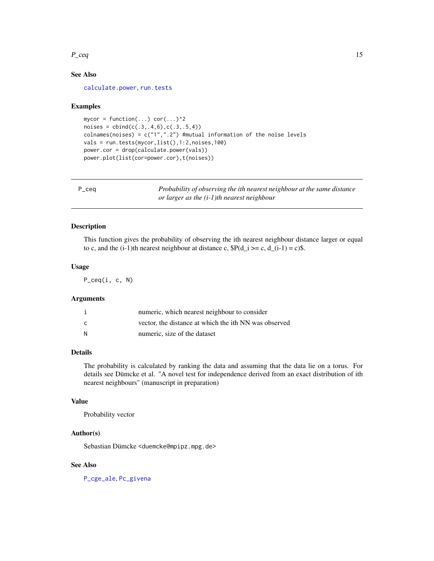#### <span id="page-14-0"></span> $P_{ceq}$  15

# See Also

[calculate.power](#page-3-1), [run.tests](#page-18-1)

#### Examples

```
mycor = function(...) cor(...)^2noises = cbind(c(.3,.4,6),c(.3,.5,4))colnames(noises) = c("1",".2") #mutual information of the noise levels
vals = run.tests(mycor,list(),1:2,noises,100)
power.cor = drop(calculate.power(vals))
power.plot(list(cor=power.cor),t(noises))
```
<span id="page-14-1"></span>

| $P_{ceq}$ | Probability of observing the ith nearest neighbour at the same distance |
|-----------|-------------------------------------------------------------------------|
|           | or larger as the $(i-1)$ th nearest neighbour                           |

# Description

This function gives the probability of observing the ith nearest neighbour distance larger or equal to c, and the (i-1)th nearest neighbour at distance c,  $P(d_i \geq c, d_i(i-1) = c)$ .

#### Usage

P\_ceq(i, c, N)

#### **Arguments**

|     | numeric, which nearest neighbour to consider          |
|-----|-------------------------------------------------------|
| - C | vector, the distance at which the ith NN was observed |
| - N | numeric, size of the dataset                          |

# Details

The probability is calculated by ranking the data and assuming that the data lie on a torus. For details see Dümcke et al. "A novel test for independence derived from an exact distribution of ith nearest neighbours" (manuscript in preparation)

# Value

Probability vector

# Author(s)

Sebastian Dümcke <duemcke@mpipz.mpg.de>

# See Also

[P\\_cge\\_ale](#page-16-1), [Pc\\_givena](#page-11-1)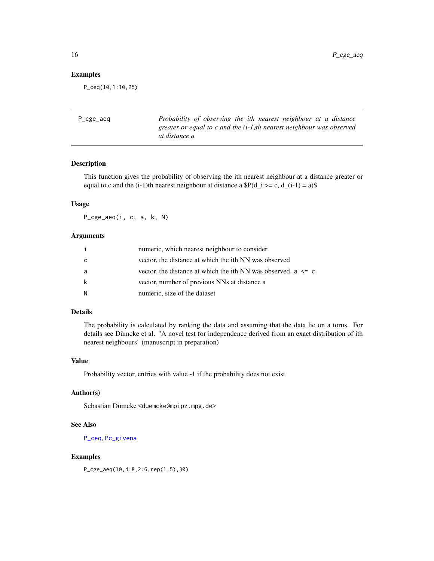# <span id="page-15-0"></span>Examples

P\_ceq(10,1:10,25)

| at distance a |  |  |                                                                                                                                             |
|---------------|--|--|---------------------------------------------------------------------------------------------------------------------------------------------|
|               |  |  | Probability of observing the ith nearest neighbour at a distance<br>greater or equal to c and the $(i-1)$ th nearest neighbour was observed |

# Description

This function gives the probability of observing the ith nearest neighbour at a distance greater or equal to c and the (i-1)th nearest neighbour at distance a  $P(d_i \geq c, d(i-1) = a)$ \$

#### Usage

P\_cge\_aeq(i, c, a, k, N)

### Arguments

| i | numeric, which nearest neighbour to consider                      |
|---|-------------------------------------------------------------------|
| C | vector, the distance at which the ith NN was observed             |
| a | vector, the distance at which the ith NN was observed. $a \leq c$ |
| k | vector, number of previous NNs at distance a                      |
| N | numeric, size of the dataset                                      |

# Details

The probability is calculated by ranking the data and assuming that the data lie on a torus. For details see Dümcke et al. "A novel test for independence derived from an exact distribution of ith nearest neighbours" (manuscript in preparation)

#### Value

Probability vector, entries with value -1 if the probability does not exist

# Author(s)

Sebastian Dümcke <duemcke@mpipz.mpg.de>

# See Also

[P\\_ceq](#page-14-1), [Pc\\_givena](#page-11-1)

# Examples

P\_cge\_aeq(10,4:8,2:6,rep(1,5),30)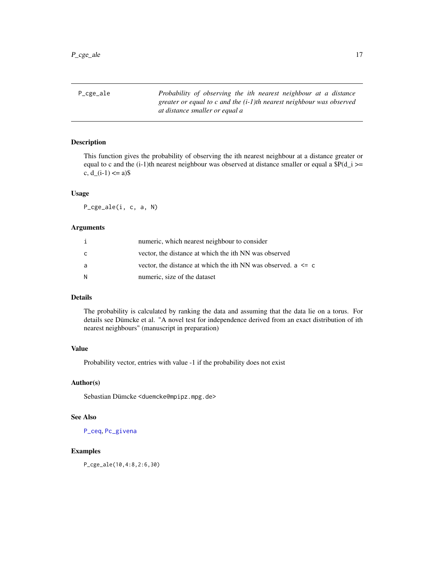<span id="page-16-1"></span><span id="page-16-0"></span>P\_cge\_ale *Probability of observing the ith nearest neighbour at a distance greater or equal to c and the (i-1)th nearest neighbour was observed at distance smaller or equal a*

#### Description

This function gives the probability of observing the ith nearest neighbour at a distance greater or equal to c and the  $(i-1)$ th nearest neighbour was observed at distance smaller or equal a  $P(d_i)$  >= c,  $d_1(i-1) \leq a$ ) \$

#### Usage

P\_cge\_ale(i, c, a, N)

#### Arguments

|   | numeric, which nearest neighbour to consider                      |
|---|-------------------------------------------------------------------|
| C | vector, the distance at which the ith NN was observed             |
| a | vector, the distance at which the ith NN was observed. $a \leq c$ |
| N | numeric, size of the dataset                                      |

# Details

The probability is calculated by ranking the data and assuming that the data lie on a torus. For details see Dümcke et al. "A novel test for independence derived from an exact distribution of ith nearest neighbours" (manuscript in preparation)

# Value

Probability vector, entries with value -1 if the probability does not exist

#### Author(s)

Sebastian Dümcke <duemcke@mpipz.mpg.de>

# See Also

[P\\_ceq](#page-14-1), [Pc\\_givena](#page-11-1)

# Examples

P\_cge\_ale(10,4:8,2:6,30)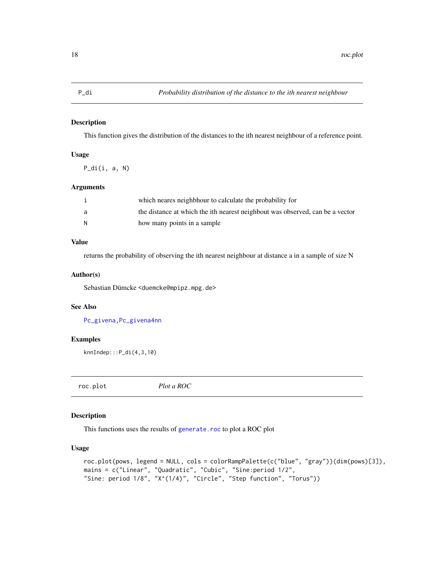<span id="page-17-0"></span>This function gives the distribution of the distances to the ith nearest neighbour of a reference point.

# Usage

 $P\_di(i, a, N)$ 

#### Arguments

|   | which neares neighbhour to calculate the probability for                      |
|---|-------------------------------------------------------------------------------|
|   | the distance at which the ith nearest neighbout was observed, can be a vector |
| N | how many points in a sample                                                   |

# Value

returns the probability of observing the ith nearest neighbour at distance a in a sample of size N

#### Author(s)

Sebastian Dümcke <duemcke@mpipz.mpg.de>

#### See Also

[Pc\\_givena](#page-11-1)[,Pc\\_givena4nn](#page-12-1)

# Examples

knnIndep:::P\_di(4,3,10)

<span id="page-17-1"></span>roc.plot *Plot a ROC*

#### Description

This functions uses the results of [generate.roc](#page-7-1) to plot a ROC plot

# Usage

```
roc.plot(pows, legend = NULL, cols = colorRampPalette(c("blue", "gray"))(dim(pows)[3]),
mains = c("Linear", "Quadratic", "Cubic", "Sine:period 1/2",
"Sine: period 1/8", "X^(1/4)", "Circle", "Step function", "Torus"))
```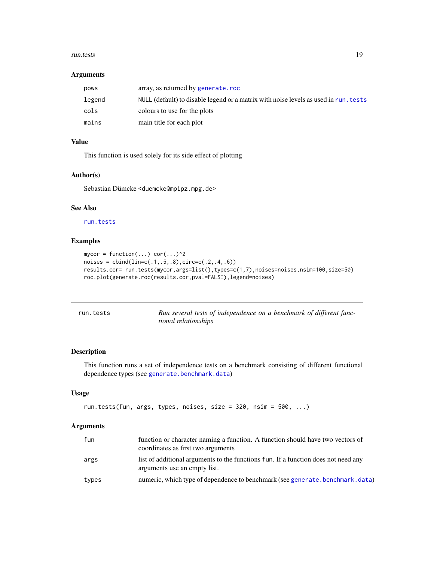#### <span id="page-18-0"></span>run.tests 19

#### Arguments

| pows   | array, as returned by generate.roc                                                   |
|--------|--------------------------------------------------------------------------------------|
| legend | NULL (default) to disable legend or a matrix with noise levels as used in run. tests |
| cols   | colours to use for the plots                                                         |
| mains  | main title for each plot                                                             |

# Value

This function is used solely for its side effect of plotting

# Author(s)

Sebastian Dümcke <duemcke@mpipz.mpg.de>

# See Also

[run.tests](#page-18-1)

# Examples

```
mycor = function(...) cor(...)^2noises = <b>cbind(lin=c(.1,.5,.8), circ=c(.2,.4,.6))</b>results.cor= run.tests(mycor,args=list(),types=c(1,7),noises=noises,nsim=100,size=50)
roc.plot(generate.roc(results.cor,pval=FALSE),legend=noises)
```
<span id="page-18-1"></span>

| run.tests | Run several tests of independence on a benchmark of different func- |
|-----------|---------------------------------------------------------------------|
|           | tional relationships                                                |

#### Description

This function runs a set of independence tests on a benchmark consisting of different functional dependence types (see [generate.benchmark.data](#page-4-1))

# Usage

```
run.tests(fun, args, types, noises, size = 320, nsim = 500, ...)
```
#### Arguments

| fun   | function or character naming a function. A function should have two vectors of<br>coordinates as first two arguments |
|-------|----------------------------------------------------------------------------------------------------------------------|
| args  | list of additional arguments to the functions fun. If a function does not need any<br>arguments use an empty list.   |
| types | numeric, which type of dependence to benchmark (see generate benchmark, data)                                        |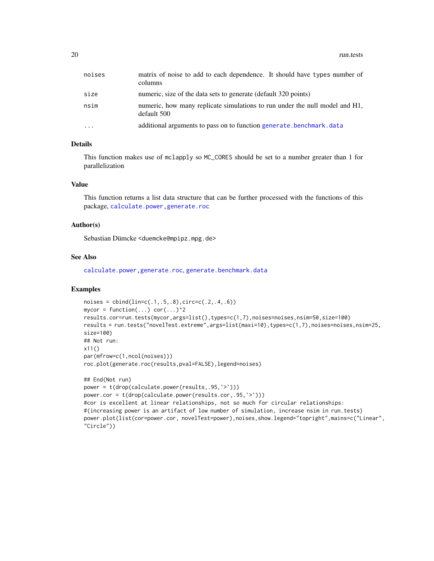<span id="page-19-0"></span>

| noises   | matrix of noise to add to each dependence. It should have types number of<br>columns       |
|----------|--------------------------------------------------------------------------------------------|
| size     | numeric, size of the data sets to generate (default 320 points)                            |
| nsim     | numeric, how many replicate simulations to run under the null model and H1,<br>default 500 |
| $\cdots$ | additional arguments to pass on to function generate. benchmark. data                      |

# Details

This function makes use of mclapply so MC\_CORES should be set to a number greater than 1 for parallelization

#### Value

This function returns a list data structure that can be further processed with the functions of this package, [calculate.power,](#page-3-1)[generate.roc](#page-7-1)

#### Author(s)

Sebastian Dümcke <duemcke@mpipz.mpg.de>

# See Also

[calculate.power](#page-3-1)[,generate.roc](#page-7-1), [generate.benchmark.data](#page-4-1)

```
noises = <math>cbind(linc(.1,.5,.8), circ=c(.2,.4,.6))</math>mycor = function(...) cor(...)^2results.cor=run.tests(mycor,args=list(),types=c(1,7),noises=noises,nsim=50,size=100)
results = run.tests("novelTest.extreme",args=list(maxi=10),types=c(1,7),noises=noises,nsim=25,
size=100)
## Not run:
x11()
par(mfrow=c(1,ncol(noises)))
roc.plot(generate.roc(results,pval=FALSE),legend=noises)
## End(Not run)
```

```
power = t(drop(calculate.power(results,.95,`>`)))
power.cor = t(drop(calculate.power(results.cor,.95,`>`)))
#cor is excellent at linear relationships, not so much for circular relationships:
#(increasing power is an artifact of low number of simulation, increase nsim in run.tests)
power.plot(list(cor=power.cor, novelTest=power),noises,show.legend="topright",mains=c("Linear",
"Circle"))
```